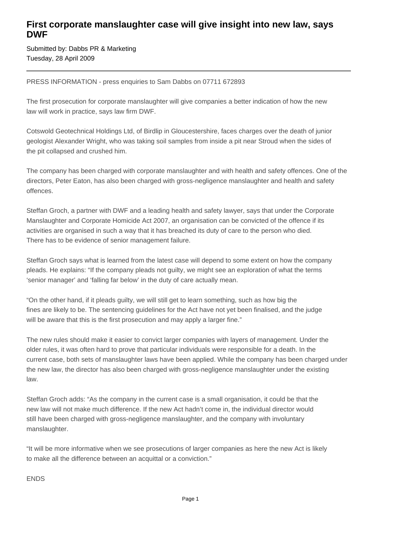## **First corporate manslaughter case will give insight into new law, says DWF**

Submitted by: Dabbs PR & Marketing Tuesday, 28 April 2009

PRESS INFORMATION - press enquiries to Sam Dabbs on 07711 672893

The first prosecution for corporate manslaughter will give companies a better indication of how the new law will work in practice, says law firm DWF.

Cotswold Geotechnical Holdings Ltd, of Birdlip in Gloucestershire, faces charges over the death of junior geologist Alexander Wright, who was taking soil samples from inside a pit near Stroud when the sides of the pit collapsed and crushed him.

The company has been charged with corporate manslaughter and with health and safety offences. One of the directors, Peter Eaton, has also been charged with gross-negligence manslaughter and health and safety offences.

Steffan Groch, a partner with DWF and a leading health and safety lawyer, says that under the Corporate Manslaughter and Corporate Homicide Act 2007, an organisation can be convicted of the offence if its activities are organised in such a way that it has breached its duty of care to the person who died. There has to be evidence of senior management failure.

Steffan Groch says what is learned from the latest case will depend to some extent on how the company pleads. He explains: "If the company pleads not guilty, we might see an exploration of what the terms 'senior manager' and 'falling far below' in the duty of care actually mean.

"On the other hand, if it pleads guilty, we will still get to learn something, such as how big the fines are likely to be. The sentencing guidelines for the Act have not yet been finalised, and the judge will be aware that this is the first prosecution and may apply a larger fine."

The new rules should make it easier to convict larger companies with layers of management. Under the older rules, it was often hard to prove that particular individuals were responsible for a death. In the current case, both sets of manslaughter laws have been applied. While the company has been charged under the new law, the director has also been charged with gross-negligence manslaughter under the existing law.

Steffan Groch adds: "As the company in the current case is a small organisation, it could be that the new law will not make much difference. If the new Act hadn't come in, the individual director would still have been charged with gross-negligence manslaughter, and the company with involuntary manslaughter.

"It will be more informative when we see prosecutions of larger companies as here the new Act is likely to make all the difference between an acquittal or a conviction."

ENDS